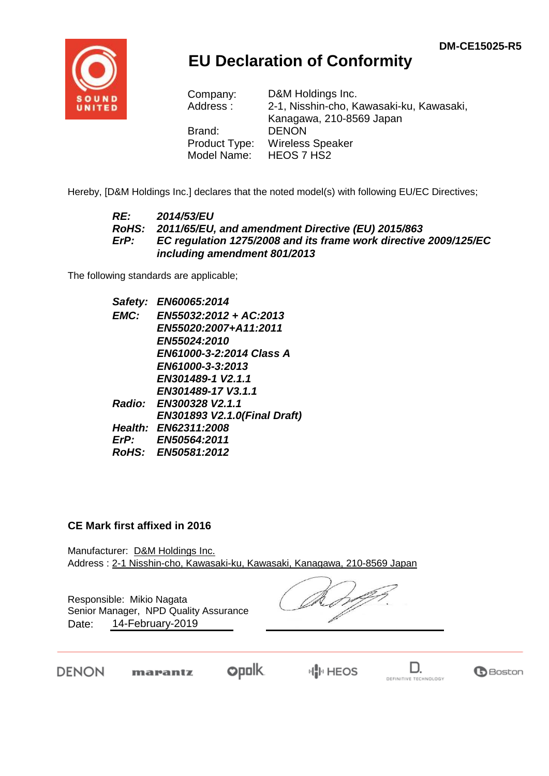

## **EU Declaration of Conformity**

| D&M Holdings Inc.                        |
|------------------------------------------|
| 2-1, Nisshin-cho, Kawasaki-ku, Kawasaki, |
| Kanagawa, 210-8569 Japan                 |
| <b>DENON</b>                             |
| <b>Wireless Speaker</b>                  |
| HEOS 7 HS2                               |
|                                          |

Hereby, [D&M Holdings Inc.] declares that the noted model(s) with following EU/EC Directives;

#### *RE: 2014/53/EU RoHS: 2011/65/EU, and amendment Directive (EU) 2015/863 ErP: EC regulation 1275/2008 and its frame work directive 2009/125/EC including amendment 801/2013*

The following standards are applicable;

*Safety: EN60065:2014 EMC: EN55032:2012 + AC:2013 EN55020:2007+A11:2011 EN55024:2010 EN61000-3-2:2014 Class A EN61000-3-3:2013 EN301489-1 V2.1.1 EN301489-17 V3.1.1 Radio: EN300328 V2.1.1 EN301893 V2.1.0(Final Draft) Health: EN62311:2008 ErP: EN50564:2011 RoHS: EN50581:2012*

#### **CE Mark first affixed in 2016**

Manufacturer: D&M Holdings Inc. Address : 2-1 Nisshin-cho, Kawasaki-ku, Kawasaki, Kanagawa, 210-8569 Japan

Responsible: Mikio Nagata Date: 14-February-2019 Senior Manager, NPD Quality Assurance

DENON

**opolk** marantz

 $\mathbb{H}^{\mathbb{I}}_{\mathbb{I}}$  HEOS

D. DEFINITIVE TECHNOLOGY

**B**Boston